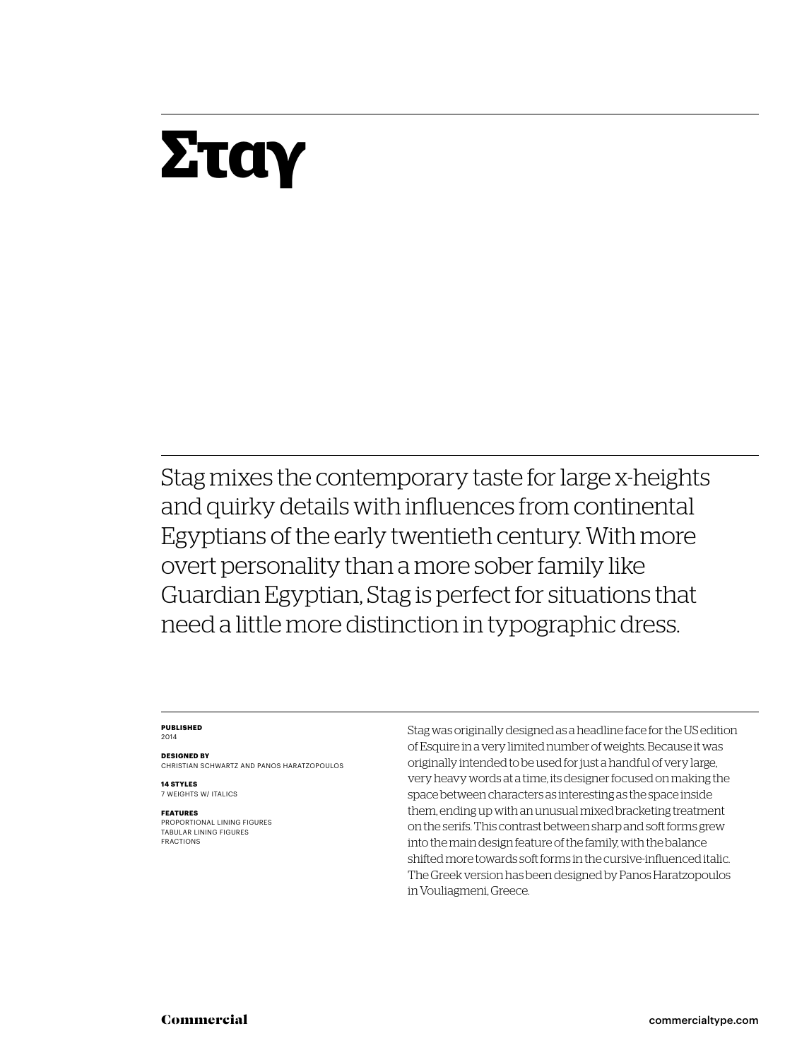## **Σταγ**

Stag mixes the contemporary taste for large x-heights and quirky details with influences from continental Egyptians of the early twentieth century. With more overt personality than a more sober family like Guardian Egyptian, Stag is perfect for situations that need a little more distinction in typographic dress.

#### **Published** 2014

**Designed by** Christian Schwartz and Panos Haratzopoulos

**14 styles** 7 weights w/ ITALICS

#### **Features**

PROPORTIONAL LINING FIGURES Tabular LINING FIGURES FRACTIONS

Stag was originally designed as a headline face for the US edition of Esquire in a very limited number of weights. Because it was originally intended to be used for just a handful of very large, very heavy words at a time, its designer focused on making the space between characters as interesting as the space inside them, ending up with an unusual mixed bracketing treatment on the serifs. This contrast between sharp and soft forms grew into the main design feature of the family, with the balance shifted more towards soft forms in the cursive-influenced italic. The Greek version has been designed by Panos Haratzopoulos in Vouliagmeni, Greece.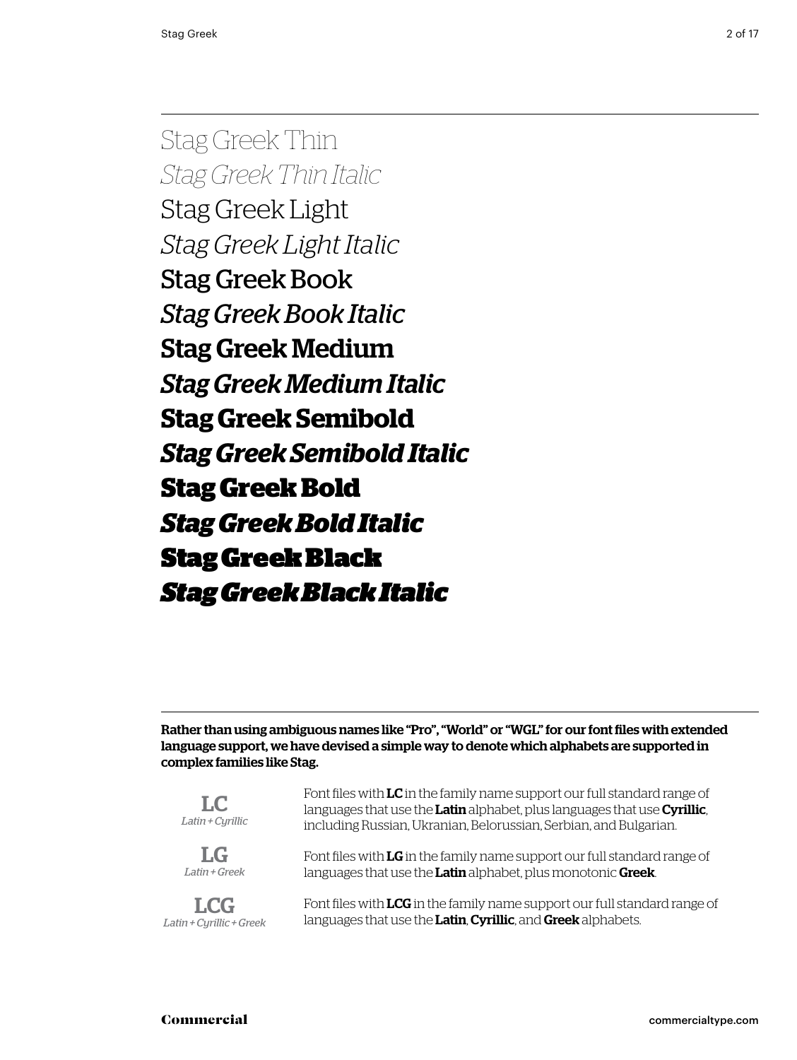Stag Greek Thin *Stag Greek Thin Italic* Stag Greek Light *Stag Greek Light Italic* Stag Greek Book *Stag Greek Book Italic* Stag Greek Medium *Stag Greek Medium Italic* **Stag Greek Semibold** *Stag Greek Semibold Italic* **Stag Greek Bold** *Stag Greek Bold Italic* Stag Greek Black *Stag Greek Black Italic*

Rather than using ambiguous names like "Pro", "World" or "WGL" for our font files with extended language support, we have devised a simple way to denote which alphabets are supported in complex families like Stag.

| LC.<br>Latin + Cyrillic  | Font files with LC in the family name support our full standard range of<br>languages that use the Latin alphabet, plus languages that use Cyrillic,<br>including Russian, Ukranian, Belorussian, Serbian, and Bulgarian. |  |  |
|--------------------------|---------------------------------------------------------------------------------------------------------------------------------------------------------------------------------------------------------------------------|--|--|
| $L_G$                    | Font files with LG in the family name support our full standard range of                                                                                                                                                  |  |  |
| Latin + Greek            | languages that use the Latin alphabet, plus monotonic Greek.                                                                                                                                                              |  |  |
| <b>LCG</b>               | Font files with LCG in the family name support our full standard range of                                                                                                                                                 |  |  |
| Latin + Cyrillic + Greek | languages that use the Latin, Cyrillic, and Greek alphabets.                                                                                                                                                              |  |  |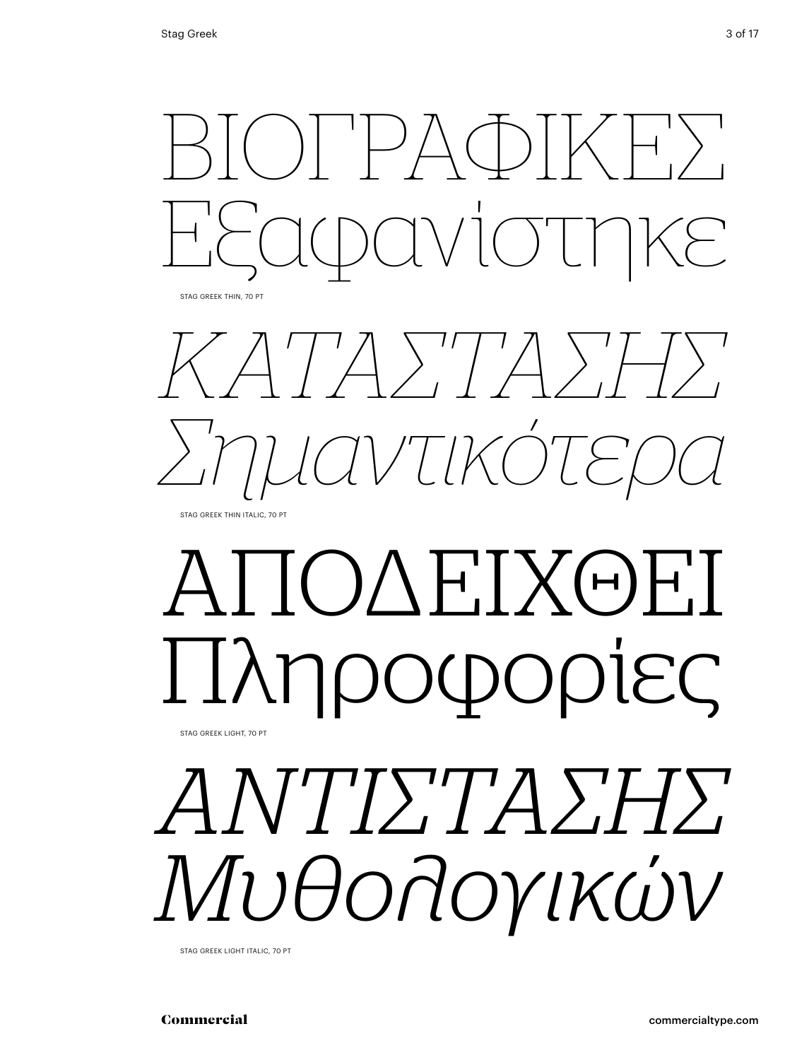

*Κατάστασης Σημαντικότερα* Stag Greek Thin italic, 70 Pt

## ΑΠΟΛΕΙΧΘΕΙ Ι Ιληροφορίες Stag Greek light, 70 Pt

# *ΑΝΤΙΣΤΑΣΗΣ Μυθολογικών*

Stag Greek light italic, 70 Pt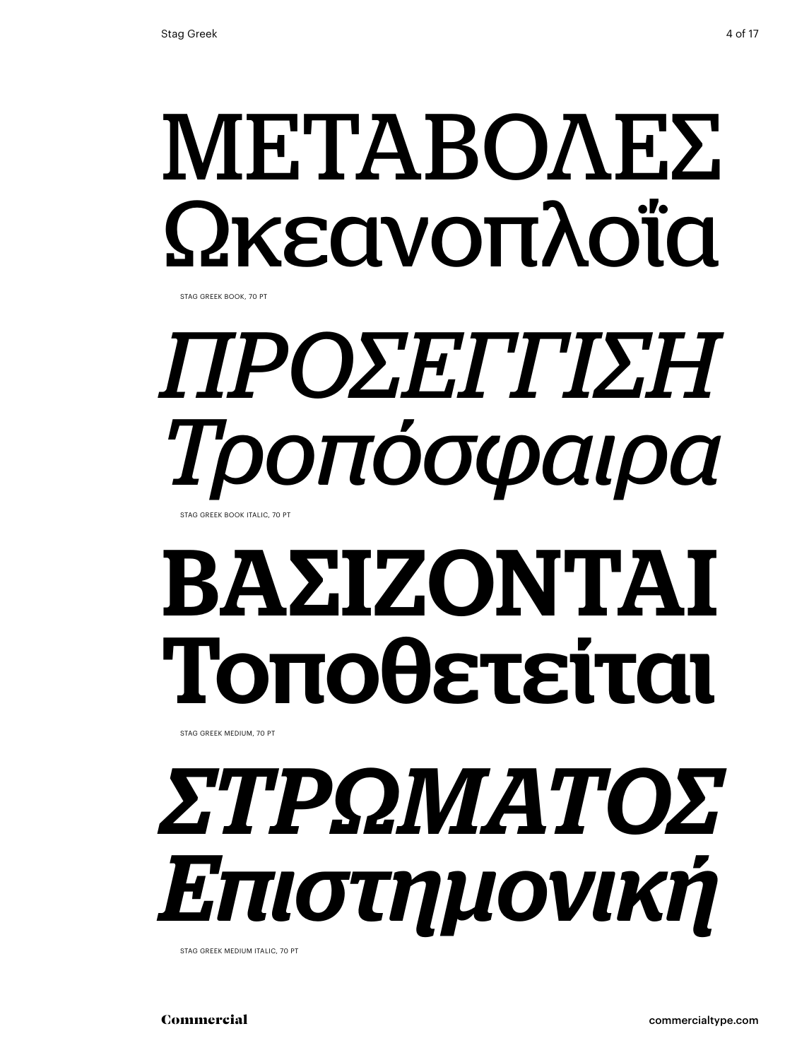# ΜΕΤΑΒΟΛΕΣ Ωκεανοπλοΐα

Stag Greek book, 70 Pt

## *Προσέγγιση Τροπόσφαιρα* STAG GREEK BOOK ITALIC, 70 PT

# ΒΑΣΙΖΟΝΤΑΙ Τοποθετείται

Stag Greek medium, 70 Pt

# *Στρώματος Επιστημονική*

Stag Greek medium italic, 70 Pt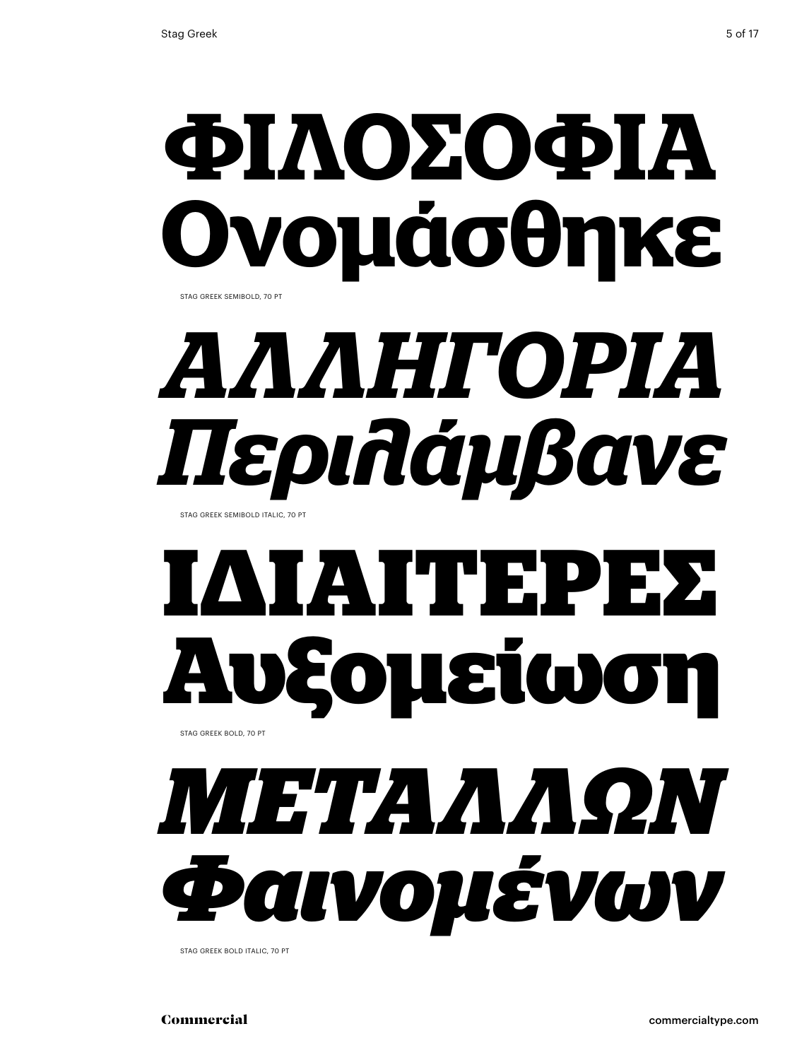## **φιλοσοφια Ονομάσθηκε** Stag Greek semibold, 70 Pt

# *Αλληγορία Περιλάμβανε*

Stag Greek semibold italic, 70 Pt

## **Ιδιαίτερες Αυξομείωση** STAG GREEK BOLD, 70 PT



Stag Greek bold italic, 70 Pt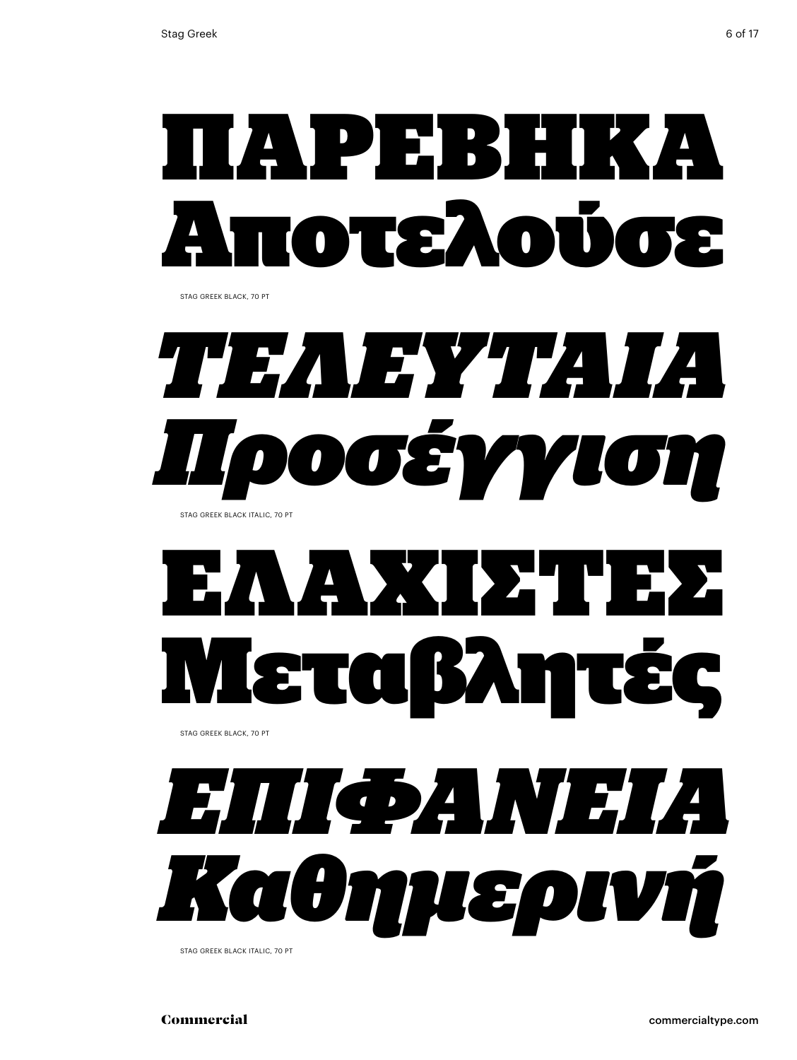

Stag Greek black, 70 Pt



# ΕΛΑΧΙΣΤΕΣ Μεταβλητές

Stag Greek black, 70 Pt



Stag Greek black italic, 70 Pt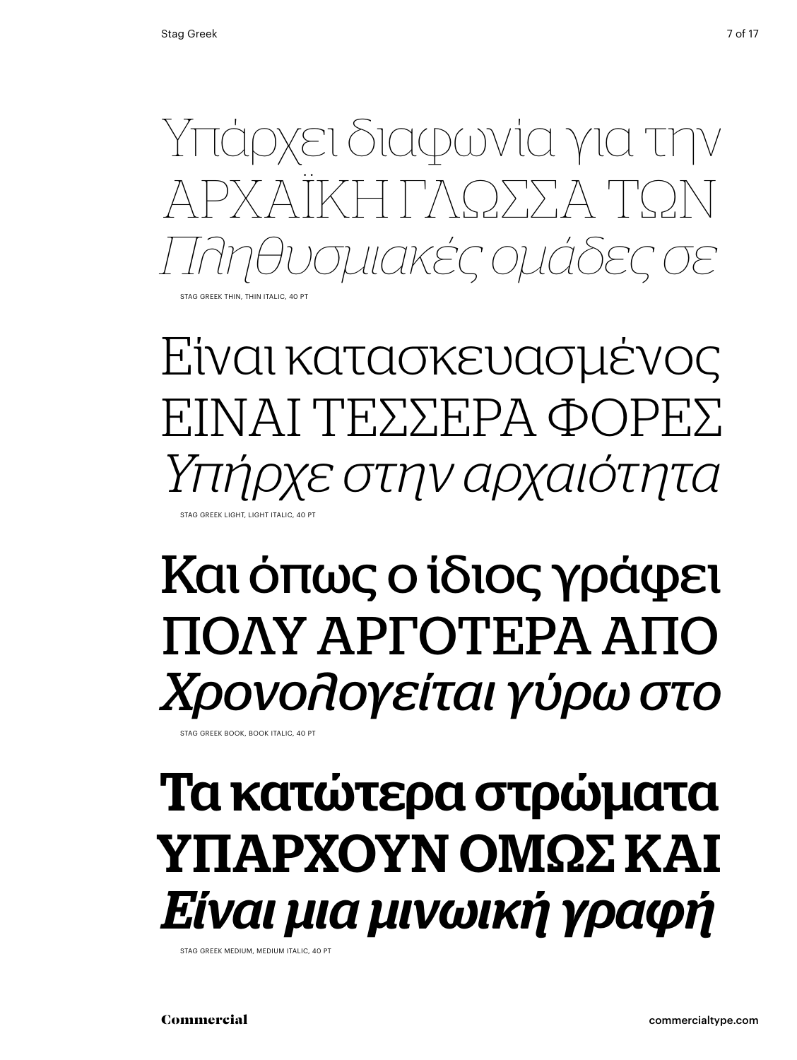

Είναι κατασκευασμένος ΕΊΝΑΙ ΤΕΣΣΕΡΑ ΦΟΡΕΣ *Υπήρχε στην αρχαιότητα* Stag Greek light, light italic, 40 Pt

### Και όπως ο ίδιος γράφει ΠΟΛΥ ΑΡΓΟΤΕΡΑ ΑΠΟ *Χρονολογείται γύρω στο*

STAG GREEK BOOK, BOOK ITALIC, 40 PT

### Τα κατώτερα στρώματα ΥΠΑΡΧΟΥΝ ΟΜΩΣ ΚΑΙ *Είναι μια μινωική γραφή*

Stag Greek medium, medium italic, 40 Pt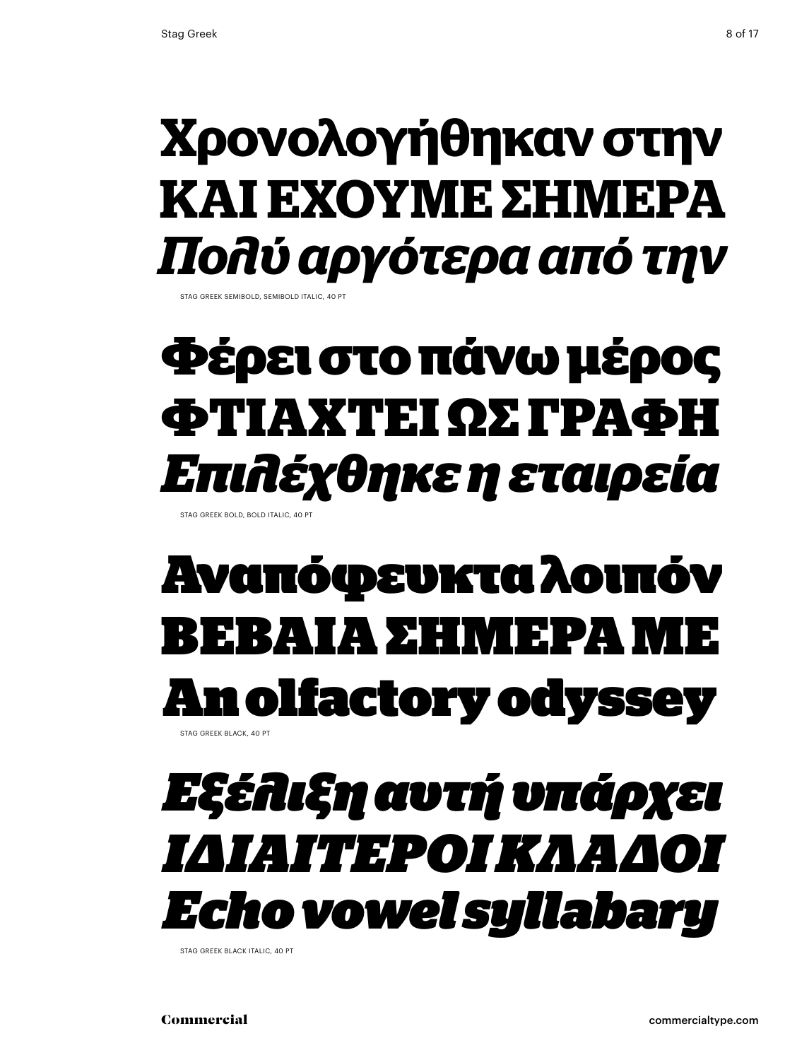### **Χρονολογήθηκαν στην ΚΑΙ ΕΧΟΥΜΕ ΣΗΜΕΡΑ** *Πολύ αργότερα από την*

STAG GREEK SEMIBOLD, SEMIBOLD ITALIC, 40

### **Φέρει στο πάνω μέρος Φτιαχτεί ως γραΦή** *Επιλέχθηκε η εταιρεία*

Stag Greek bold, bold italic, 40 Pt

#### Αναπόφευκτα λοιπόν ΒΕΙΑ ΠΑΡΑΣΤΟΝ ΠΕΡΙΣΟΥ Е n olfactory odyssey Stag Greek black, 40 Pt

### *Εξέλιξη αυτή υπάρχει Ιδιαίτεροικλάδοι Echo vowel syllabary*

STAG GREEK BLACK ITALIC, 40 PT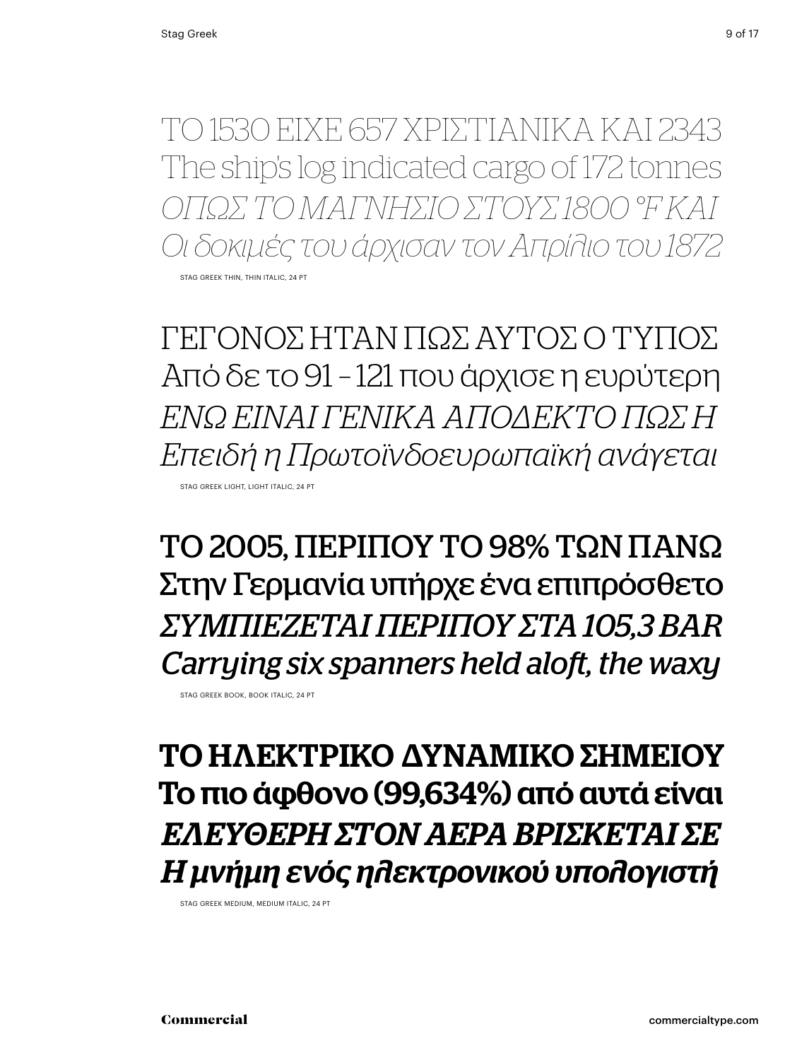ΤΟ 1530 ΕΙΧΕ 657 ΧΡΙΣΤΙΑΝΙΚΑ ΚΑΙ 2343 The ship's log indicated cargo of 172 tonnes *όπως το μαγνήσιο στους 1800 °F και Οι δοκιμές του άρχισαν τον Απρίλιο του 1872* STAG GREEK THIN, THIN ITALIC, 24 PT

ΓΕΓΟΝΟΣ ΗΤΑΝ ΠΩΣ ΑΥΤΟΣ Ο ΤΥΠΟΣ Από δε το 91 – 121 που άρχισε η ευρύτερη *Ενώ είναι γενικά αποδεκτό πως η Επειδή η Πρωτοϊνδοευρωπαϊκή ανάγεται* Stag Greek light, light italic, 24 Pt

ΤΟ 2005, ΠΕΡΙΠΟΥ ΤΟ 98% ΤΩΝ ΠΑΝΩ Στην Γερμανία υπήρχε ένα επιπρόσθετο *συμπιέζεται περίπου στα 105,3 bar Carrying six spanners held aloft, the waxy*

Stag Greek book, book italic, 24 Pt

ΤΟ ΗΛΕΚΤΡΙΚΟ ΔΥΝΑΜΙΚΌ ΣΗΜΕΙΟΥ Το πιο άφθονο (99,634%) από αυτά είναι *Ελεύθερη στον αέρα βρίσκεται σε Η μνήμη ενός ηλεκτρονικού υπολογιστή*

Stag Greek medium, medium italic, 24 Pt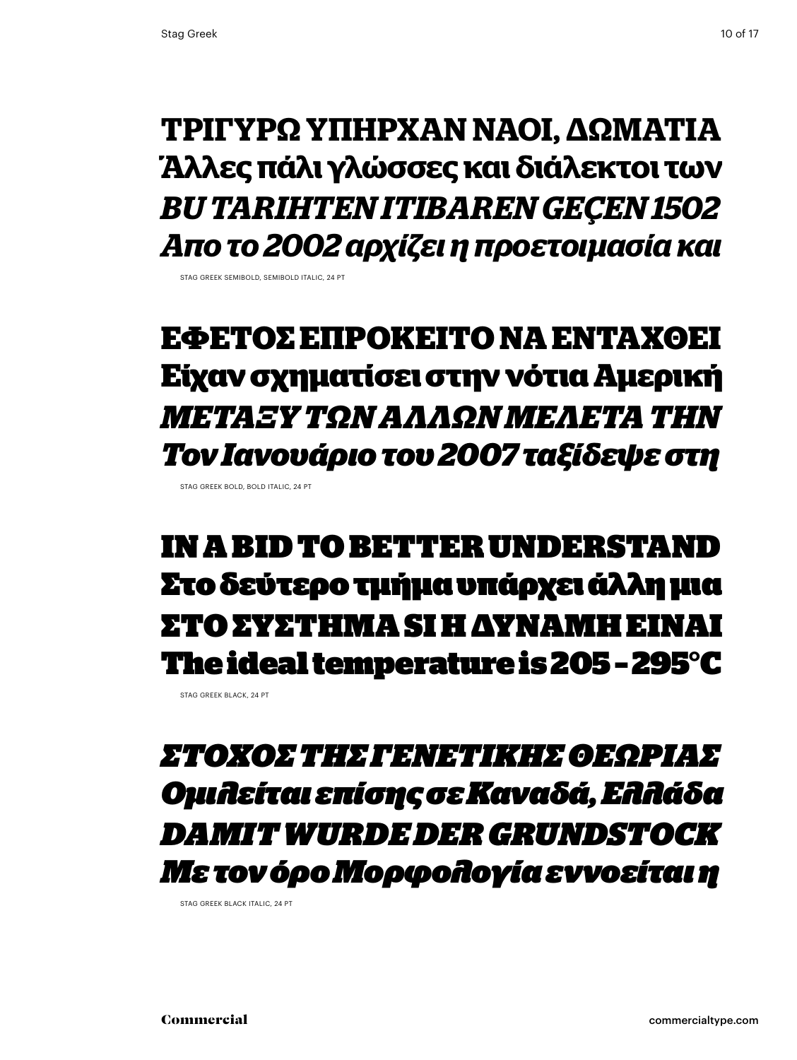#### **Τριγυρω υπήρΧαν ναοι, δωμάτια Άλλες πάλι γλώσσες και διάλεκτοι των** *Bu tarihten itibaren geçen 1502 Απο το 2002 αρχίζει η προετοιμασία και*

STAG GREEK SEMIROLD, SEMIROLD ITALIC, 24 PT

### **Εφέτος επρόκειτο να ενταχθεί Είχαν σχηματίσει στην νότια Αμερική** *Μεταξύ των άλλων μελετά την Τον Ιανουάριο του 2007 ταξίδεψε στη*

STAG GREEK BOLD, BOLD ITALIC, 24 PT

#### in abid to better understand Στο δεύτερο τμήμα υπάρχει άλλη μια ΣΤΟ ΣΥΣΤΗΜΑ SI Η ΔΥΝΑΜΗ ΕΊΝΑΙ The ideal temperature is 205 – 295°C

STAG GREEK BLACK, 24 PT

#### *Στόχος της γενετικής θεωρίας Ομιλείται επίσης σε Καναδά, Ελλάδα Damit wurdeder Grundstock Με τον όρο Μορφολογία εννοείται η*

STAG GREEK BLACK ITALIC, 24 PT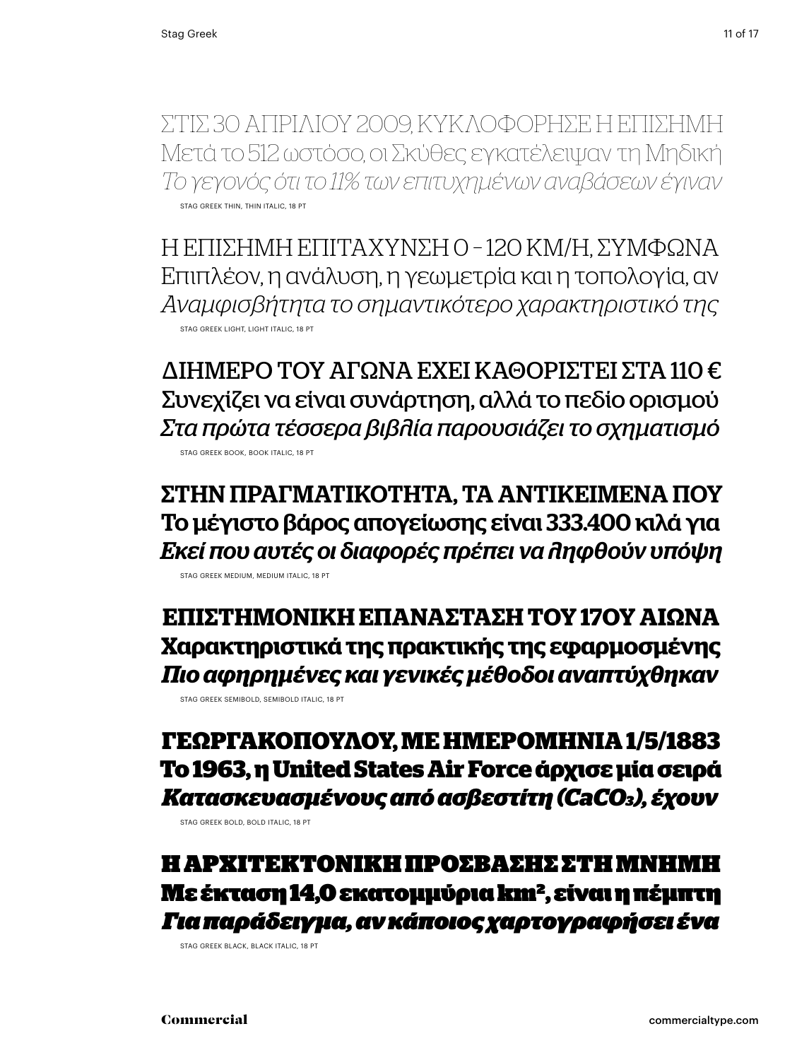Στις 30 ΑπριλίοΥ 2009, κΥκλοφόρησε η επίσημη Μετά το 512 ωστόσο, οι Σκύθες εγκατέλειψαν τη Μηδική *Το γεγονός ότι το 11% των επιτυχημένων αναβάσεων έγιναν* Stag Greek thin, thin italic, 18 Pt

Η ΕΠΊΣΗΜΗ ΕΠΙΤΑΧΥΝΣΗ Ο -120 ΚΜ/Η, ΣΥΜΦΩΝΑ Επιπλέον, η ανάλυση, η γεωμετρία και η τοπολογία, αν *Αναμφισβήτητα το σημαντικότερο χαρακτηριστικό της* Stag Greek light, light italic, 18 Pt

ΔΙΗΜΕΡΟ ΤΟΥ ΑΓΩΝΑ ΕΧΕΙ ΚΑΘΟΡΙΣΤΕΙ ΣΤΑ 110 € Συνεχίζει να είναι συνάρτηση, αλλά το πεδίο ορισμού *Στα πρώτα τέσσερα βιβλία παρουσιάζει το σχηματισμό* Stag Greek book, book italic, 18 Pt

ΣΤΗΝ ΠΡΑΓΜΑΤΙΚΟΤΗΤΑ. ΤΑ ΑΝΤΙΚΕΙΜΕΝΑ ΠΟΥ Το μέγιστο βάρος απογείωσης είναι 333.400 κιλά για *Εκεί που αυτές οι διαφορές πρέπει να ληφθούν υπόψη*

Stag Greek medium, medium italic, 18 Pt

**επιστημονική επανάσταση του 17ου αιώνα Χαρακτηριστικά της πρακτικής της εφαρμοσμένης** *Πιο αφηρημένες και γενικές μέθοδοι αναπτύχθηκαν* Stag Greek semibold, semibold italic, 18 Pt

**Γεωργακόπουλου, με ημερομηνία 1/5/1883 Το 1963, η United States Air Force άρχισε μία σειρά** *Κατασκευασμένους από ασβεστίτη (CaCO3), έχουν*

Stag Greek bold, bold italic, 18 Pt

Η ΑΡΧΙΤΕΚΤΟΝΙΚΗ ΠΡΟΣΒΑΣΗΣ ΣΤΗ ΜΝΗΜΗ Με έκταση 14,0 εκατομμύρια km2, είναι η πέμπτη *Για παράδειγμα, αν κάποιος χαρτογραφήσει ένα*

Stag Greek black, black italic, 18 Pt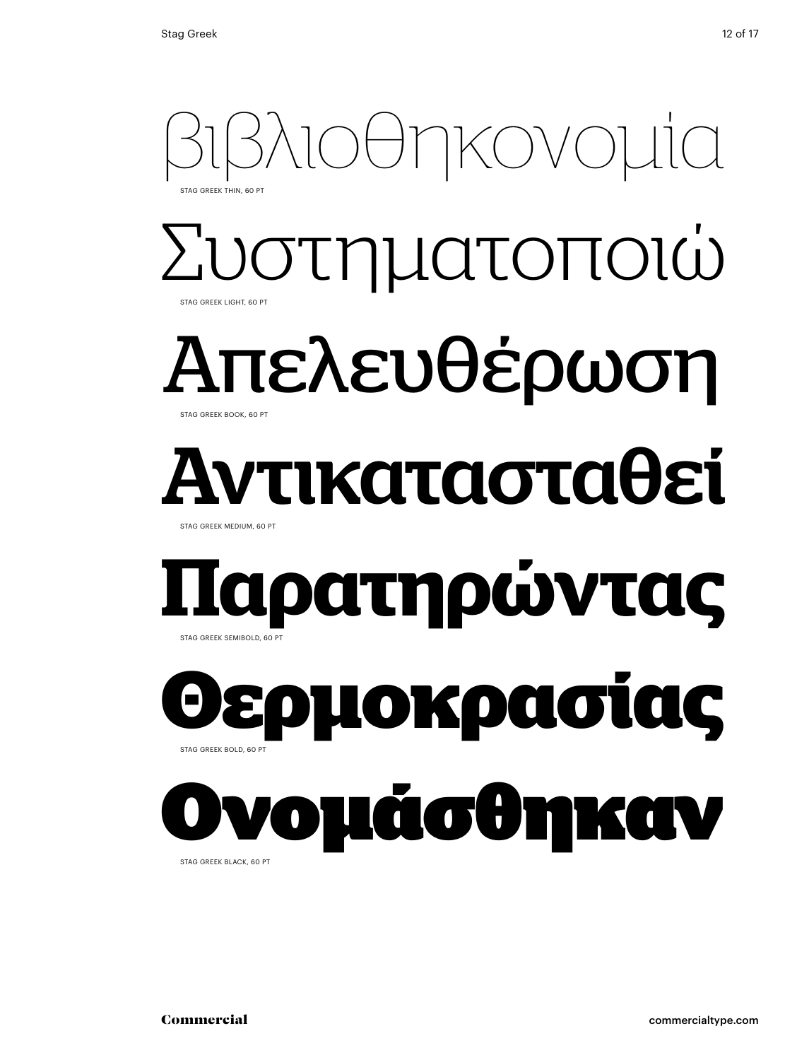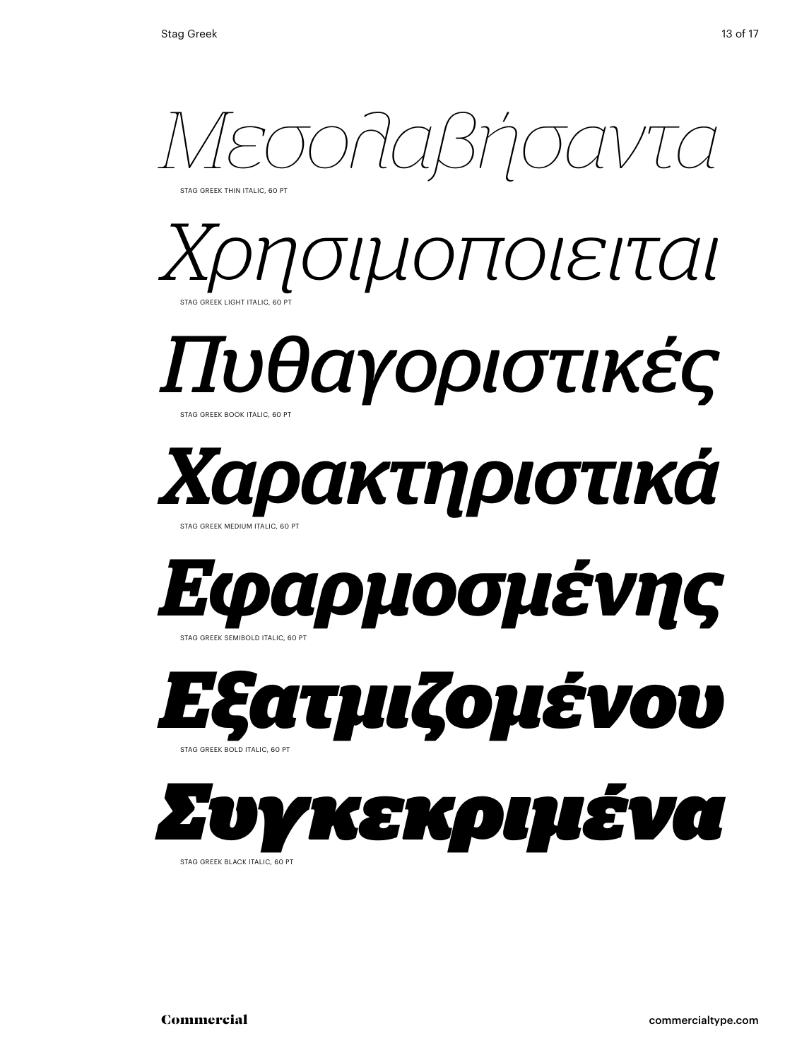

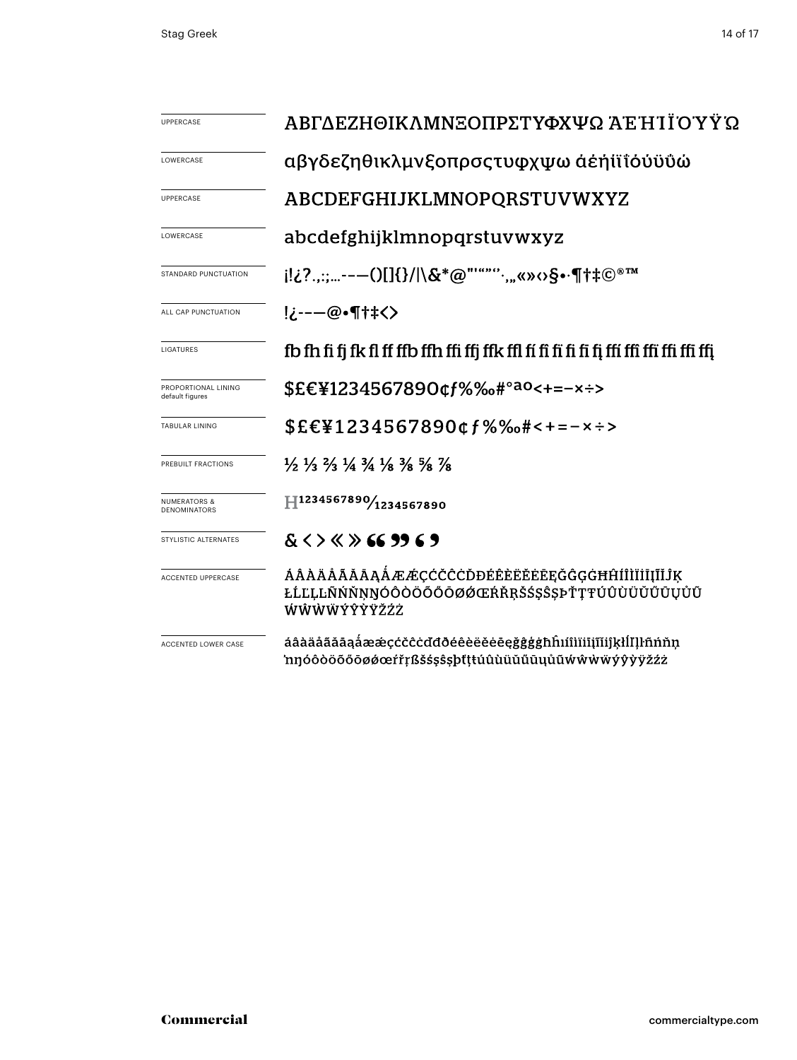| <b>UPPERCASE</b>                               | ΑΒΓΔΕΖΗΘΙΚΛΜΝΞΟΠΡΣΤΥΦΧΨΩ ΆΈΗ ΙΪΌΎΫ́ Ώ                                                                                         |
|------------------------------------------------|-------------------------------------------------------------------------------------------------------------------------------|
| LOWERCASE                                      | αβγδεζηθικλμνξοπρσςτυφχψω αεήιϊΐουΰΰώ                                                                                         |
| <b>UPPERCASE</b>                               | ABCDEFGHIJKLMNOPQRSTUVWXYZ                                                                                                    |
| LOWERCASE                                      | abcdefghijklmnopqrstuvwxyz                                                                                                    |
| STANDARD PUNCTUATION                           | i!¿?.,:;---()[]{}/ \&*@"'"""`,"«»⇔§•∙¶†‡©®™                                                                                   |
| ALL CAP PUNCTUATION                            | !¿---@•¶†‡<>                                                                                                                  |
| LIGATURES                                      |                                                                                                                               |
| PROPORTIONAL LINING<br>default figures         | \$£€¥1234567890¢f%‰#° <sup>ao</sup> <+=-×÷>                                                                                   |
| <b>TABULAR LINING</b>                          | $$EE41234567890$ cf%‰#<+=-x÷>                                                                                                 |
| PREBUILT FRACTIONS                             | $\frac{1}{2}$ $\frac{1}{3}$ $\frac{2}{3}$ $\frac{1}{4}$ $\frac{3}{4}$ $\frac{1}{8}$ $\frac{3}{8}$ $\frac{5}{8}$ $\frac{7}{8}$ |
| <b>NUMERATORS &amp;</b><br><b>DENOMINATORS</b> | $\text{H}^{1234567890\!}_{1234567890}$                                                                                        |
| STYLISTIC ALTERNATES                           | $<$ > $<$ $>$ 66 99 6 9                                                                                                       |
| ACCENTED UPPERCASE                             | ÁÂÀÄĂĂĂĀĄÅÆÆÇĆČĊŎĐÉÊÈËĔĔĒĘĞĜĢĠĦĤÍÎÌĬĪĮĨĬĴĶ<br>ŁĹĽĻĿÑŃŇŅŊÓÔŎŎŎŎŎØØŒŔŘŖŠŚŞŜȘÞŤŢŦÚÛÙŬŬŰŨŲŮŨ<br>ŴŴŴŴÝŶŶŸŽŹŻ                       |
| ACCENTED LOWER CASE                            | áâàäåããāaåææçćčĉċďđðéêèëĕėēęğĝģġħĥıíîìïiijĩijkłĺIlŀñńňn<br>'nŋóôòöõőōøøœŕřŗßšśşŝşþťţŧúûùüŭűūyůũẃŵẁẅÿŷỳÿžźż                    |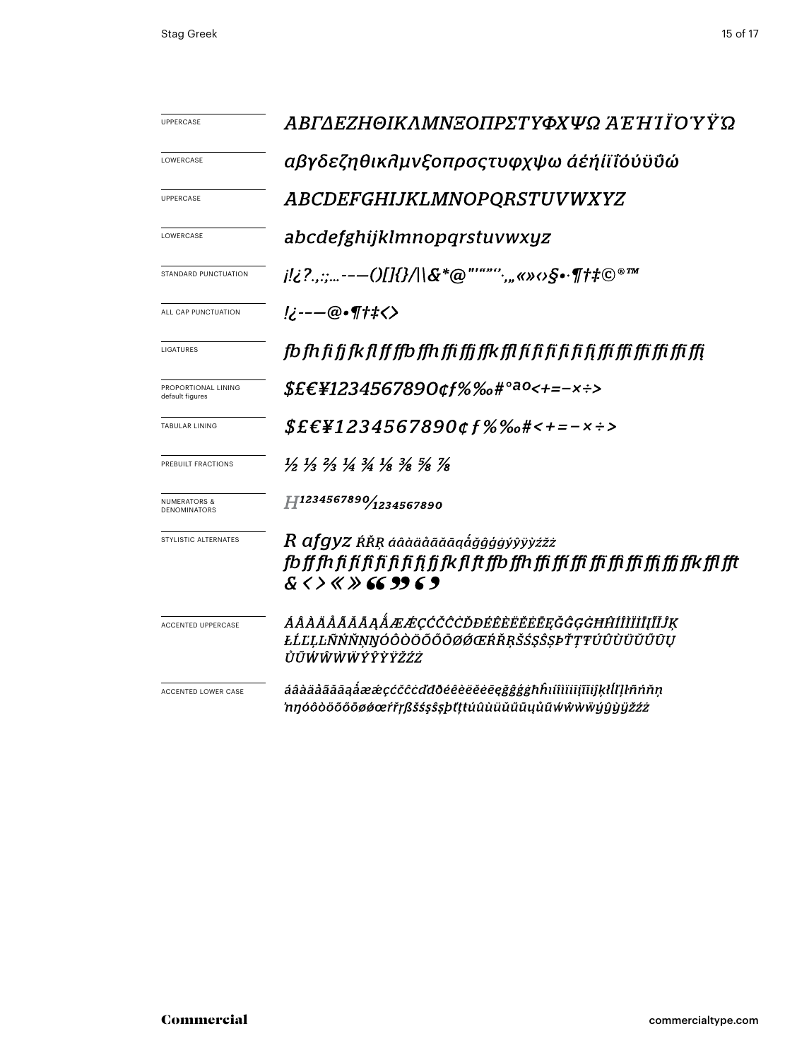| <b>UPPERCASE</b>                               | ΑΒΓΔΕΖΗΘΙΚΛΜΝΞΟΠΡΣΤΥΦΧΨΩ ΆΈ Ή Ί Ϊ́ΟΎΫ́ Ώ                                                                                                                                      |  |  |  |
|------------------------------------------------|-------------------------------------------------------------------------------------------------------------------------------------------------------------------------------|--|--|--|
| LOWERCASE                                      | αβγδεζηθικλμνξοπρσςτυφχψω άέἡἱϊῒόύϋΰώ                                                                                                                                         |  |  |  |
| <b>UPPERCASE</b>                               | <b>ABCDEFGHIJKLMNOPQRSTUVWXYZ</b>                                                                                                                                             |  |  |  |
| LOWERCASE                                      | abcdefghijklmnopqrstuvwxyz                                                                                                                                                    |  |  |  |
| STANDARD PUNCTUATION                           | $i$ !¿?.,:;---()[]{}/ \&*@"'""'';"«»<> $\S$ •·¶†‡©®™                                                                                                                          |  |  |  |
| ALL CAP PUNCTUATION                            | $ 2 - -\omega \cdot \eta'$                                                                                                                                                    |  |  |  |
| <b>LIGATURES</b>                               |                                                                                                                                                                               |  |  |  |
| PROPORTIONAL LINING<br>default figures         | \$£€¥1234567890¢f%‰#° <sup>ao</sup> <+=-×÷>                                                                                                                                   |  |  |  |
| <b>TABULAR LINING</b>                          | $$E\epsilon$ ¥1234567890¢f%‰#<+=-×÷>                                                                                                                                          |  |  |  |
| PREBUILT FRACTIONS                             | $\frac{1}{2}$ $\frac{1}{3}$ $\frac{2}{3}$ $\frac{1}{4}$ $\frac{3}{4}$ $\frac{1}{8}$ $\frac{3}{8}$ $\frac{5}{8}$ $\frac{7}{8}$                                                 |  |  |  |
| <b>NUMERATORS &amp;</b><br><b>DENOMINATORS</b> | H1234567890/1234567890                                                                                                                                                        |  |  |  |
| STYLISTIC ALTERNATES                           | $R$ afgyz ŔŘŖ áâàäåãăāąåğĝģģýŷÿỳżžż<br>fb ff fh fi fi fi fi fi fi fi fi fi fk fl ft ffb ffh ffi ffi ffi ffi ffi ffi ffi ffi ffk ffl fft<br>$8 \leftrightarrow 8 \times 69969$ |  |  |  |
| <b>ACCENTED UPPERCASE</b>                      | ÁÂÀÄÅÃĂĀĄÅÆÆÇĆČĈDĐÉÊÈËĔĔĘĞĜĢĠĦĤÍÎÌĬĬĪĨĨĴĶ<br>ŁĹĽĻĿÑŃŇŅŊÓÔŎŎŎŎŎØØŒŔŘŖŠŚŞŜȘÞŤŢŦÚÛÙÜŬŰŪŲ<br>ŮŨŴŴŴŴÝŶŶŸŽŹŻ                                                                        |  |  |  |
| ACCENTED LOWER CASE                            | áâàäåãăāąåææçćčĉċďđðéêèëĕēeġĝĝģġħĥıíîìïiiįĩĭiĵķłĺľļŀñńňṇ<br>'nŋóôòöõőōøøœŕřŗßšśşŝşþťţŧúûùüŭűūyůũẃŵẁẅÿýŷÿğžźż                                                                  |  |  |  |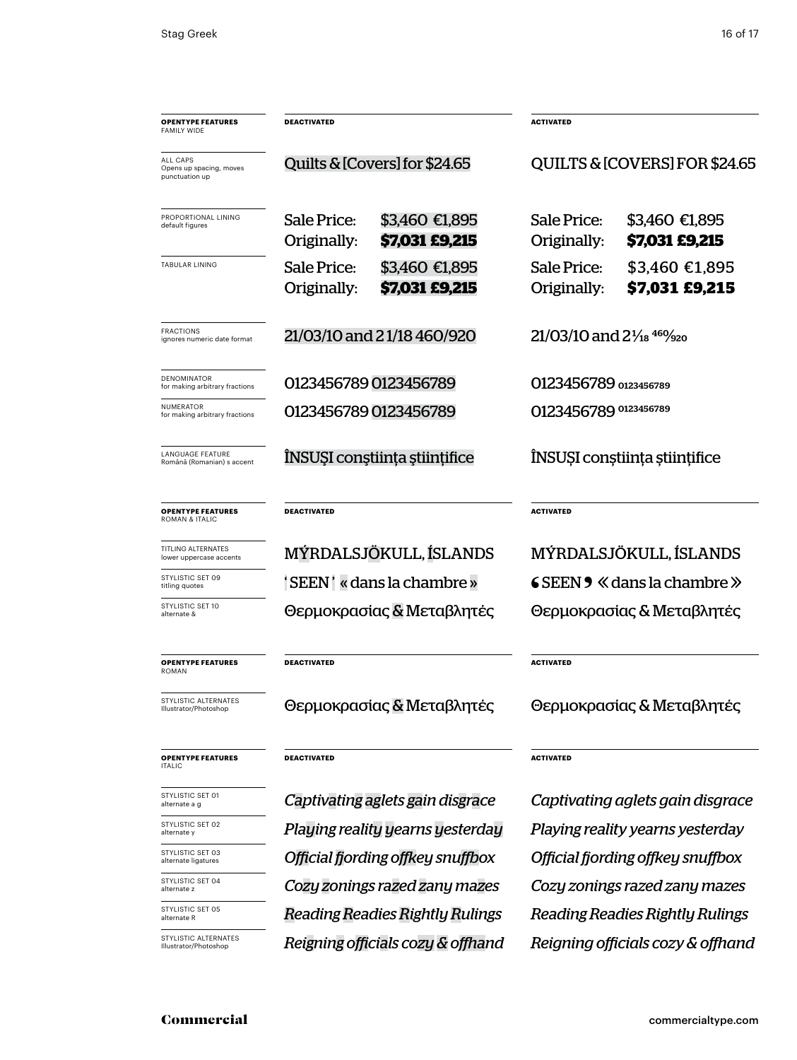| <b>OPENTYPE FEATURES</b><br><b>FAMILY WIDE</b>               | <b>DEACTIVATED</b>                |                                         | <b>ACTIVATED</b>                                 |                                        |  |
|--------------------------------------------------------------|-----------------------------------|-----------------------------------------|--------------------------------------------------|----------------------------------------|--|
| <b>ALL CAPS</b><br>Opens up spacing, moves<br>punctuation up |                                   | Quilts & [Covers] for \$24.65           | QUILTS & [COVERS] FOR \$24.65                    |                                        |  |
| PROPORTIONAL LINING<br>default figures                       | <b>Sale Price:</b><br>Originally: | \$3,460 €1,895<br>\$7,031 £9,215        | Sale Price:<br>Originally:                       | \$3,460 €1,895<br>\$7,031 £9,215       |  |
| <b>TABULAR LINING</b>                                        | <b>Sale Price:</b><br>Originally: | \$3,460 €1,895<br><b>\$7,031 £9,215</b> | Sale Price:<br>Originally:                       | \$3,460 €1,895<br>\$7,031 £9,215       |  |
| <b>FRACTIONS</b><br>ignores numeric date format              |                                   | 21/03/10 and 21/18 460/920              | $21/03/10$ and $2\frac{1}{18}$ 46% <sub>20</sub> |                                        |  |
| <b>DENOMINATOR</b><br>for making arbitrary fractions         | 0123456789 0123456789             |                                         | O123456789 0123456789                            |                                        |  |
| NUMERATOR<br>for making arbitrary fractions                  | 0123456789 0123456789             |                                         |                                                  | 0123456789 0123456789                  |  |
| LANGUAGE FEATURE<br>Română (Romanian) s accent               |                                   | ÎNSUȘI conștiința științifice           | ÎNSUȘI conștiința științifice                    |                                        |  |
| <b>OPENTYPE FEATURES</b><br><b>ROMAN &amp; ITALIC</b>        | <b>DEACTIVATED</b>                |                                         | <b>ACTIVATED</b>                                 |                                        |  |
| TITLING ALTERNATES<br>lower uppercase accents                | MÝRDALSJÖKULL, ÍSLANDS            |                                         | MÝRDALSJÖKULL, ÍSLANDS                           |                                        |  |
| STYLISTIC SET 09<br>titling quotes                           |                                   | 'SEEN' « dans la chambre »              | $SEEN$ $\bullet$ $\&$ dans la chambre $\&$       |                                        |  |
| STYLISTIC SET 10<br>alternate &                              |                                   | Θερμοκρασίας & Μεταβλητές               | Θερμοκρασίας & Μεταβλητές                        |                                        |  |
| <b>OPENTYPE FEATURES</b><br><b>ROMAN</b>                     | <b>DEACTIVATED</b>                |                                         | <b>ACTIVATED</b>                                 |                                        |  |
| STYLISTIC ALTERNATES<br>Illustrator/Photoshop                | Θερμοκρασίας & Μεταβλητές         |                                         | Θερμοκρασίας & Μεταβλητές                        |                                        |  |
| <b>OPENTYPE FEATURES</b><br><b>ITALIC</b>                    | <b>DEACTIVATED</b>                |                                         | <b>ACTIVATED</b>                                 |                                        |  |
| STYLISTIC SET 01<br>alternate a g                            |                                   | Captivating aglets gain disgrace        |                                                  | Captivating aglets gain disgrace       |  |
| STYLISTIC SET 02<br>alternate y                              | Playing reality yearns yesterday  |                                         | Playing reality yearns yesterday                 |                                        |  |
| STYLISTIC SET 03<br>alternate ligatures                      | Official fjording offkey snuffbox |                                         | Official fjording offkey snuffbox                |                                        |  |
| STYLISTIC SET 04<br>alternate z                              |                                   | Cozy zonings razed zany mazes           | Cozy zonings razed zany mazes                    |                                        |  |
| STYLISTIC SET 05<br>alternate R                              | Reading Readies Rightly Rulings   |                                         |                                                  | <b>Reading Readies Rightly Rulings</b> |  |

STYLISTIC ALTERNATE<br>Illustrator/Photoshop

*Reigning officials cozy & offhand Reigning officials cozy & offhand*